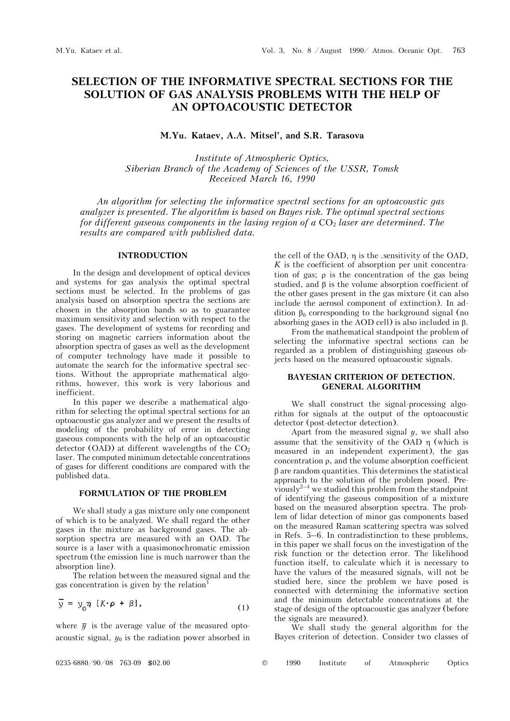# **SELECTION OF THE INFORMATIVE SPECTRAL SECTIONS FOR THE SOLUTION OF GAS ANALYSIS PROBLEMS WITH THE HELP OF AN OPTOACOUSTIC DETECTOR**

# **M.Yu. Kataev, A.A. Mitsel', and S.R. Tarasova**

*Institute of Atmospheric Optics, Siberian Branch of the Academy of Sciences of the USSR, Tomsk Received March 16, 1990* 

*An algorithm for selecting the informative spectral sections for an optoacoustic gas analyzer is presented. The algorithm is based on Bayes risk. The optimal spectral sections for different gaseous components in the lasing region of a CO<sub>2</sub> laser are determined. The results are compared with published data.* 

#### **INTRODUCTION**

In the design and development of optical devices and systems for gas analysis the optimal spectral sections must be selected. In the problems of gas analysis based on absorption spectra the sections are chosen in the absorption bands so as to guarantee maximum sensitivity and selection with respect to the gases. The development of systems for recording and storing on magnetic carriers information about the absorption spectra of gases as well as the development of computer technology have made it possible to automate the search for the informative spectral sections. Without the appropriate mathematical algorithms, however, this work is very laborious and inefficient.

In this paper we describe a mathematical algorithm for selecting the optimal spectral sections for an optoacoustic gas analyzer and we present the results of modeling of the probability of error in detecting gaseous components with the help of an optoacoustic detector (OAD) at different wavelengths of the  $CO<sub>2</sub>$ laser. The computed minimum detectable concentrations of gases for different conditions are compared with the published data.

# **FORMULATION OF THE PROBLEM**

We shall study a gas mixture only one component of which is to be analyzed. We shall regard the other gases in the mixture as background gases. The absorption spectra are measured with an OAD. The source is a laser with a quasimonochromatic emission spectrum (the emission line is much narrower than the absorption line).

The relation between the measured signal and the gas concentration is given by the relation<sup>1</sup>

$$
\overline{y} = y_0 \eta \, [K \cdot \rho + \beta], \tag{1}
$$

where  $\bar{y}$  is the average value of the measured optoacoustic signal,  $y_0$  is the radiation power absorbed in

the cell of the OAD,  $\eta$  is the .sensitivity of the OAD, *K* is the coefficient of absorption per unit concentration of gas;  $\rho$  is the concentration of the gas being studied, and  $\beta$  is the volume absorption coefficient of the other gases present in the gas mixture (it can also include the aerosol component of extinction). In addition  $\beta_b$  corresponding to the background signal (no absorbing gases in the AOD cell) is also included in  $\beta$ .

From the mathematical standpoint the problem of selecting the informative spectral sections can be regarded as a problem of distinguishing gaseous objects based on the measured optoacoustic signals.

## **BAYESIAN CRITERION OF DETECTION. GENERAL ALGORITHM**

We shall construct the signal-processing algorithm for signals at the output of the optoacoustic detector (post-detector detection).

Apart from the measured signal *y*, we shall also assume that the sensitivity of the OAD  $\eta$  (which is measured in an independent experiment), the gas concentration  $\rho$ , and the volume absorption coefficient  $\beta$  are random quantities. This determines the statistical approach to the solution of the problem posed. Previously<sup>2-4</sup> we studied this problem from the standpoint of identifying the gaseous composition of a mixture based on the measured absorption spectra. The problem of lidar detection of minor gas components based on the measured Raman scattering spectra was solved in Refs. 5–6. In contradistinction to these problems, in this paper we shall focus on the investigation of the risk function or the detection error. The likelihood function itself, to calculate which it is necessary to have the values of the measured signals, will not be studied here, since the problem we have posed is connected with determining the informative section and the minimum detectable concentrations at the stage of design of the optoacoustic gas analyzer (before the signals are measured).

We shall study the general algorithm for the Bayes criterion of detection. Consider two classes of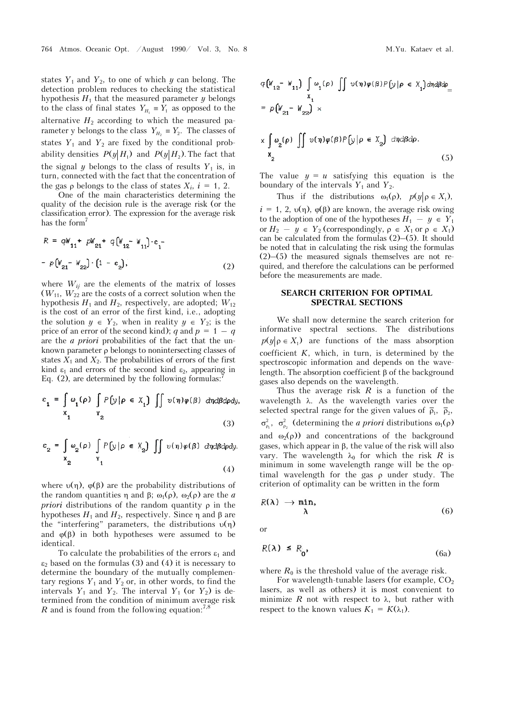states  $Y_1$  and  $Y_2$ , to one of which  $y$  can belong. The detection problem reduces to checking the statistical hypothesis  $H_1$  that the measured parameter  $y$  belongs to the class of final states  $Y_{H_1} \equiv Y_1$  as opposed to the alternative  $H_2$  according to which the measured parameter y belongs to the class  $Y_{H_2} \equiv Y_2$ . The classes of states  $Y_1$  and  $Y_2$  are fixed by the conditional probability densities  $P(y|H_1)$  and  $P(y|H_2)$ . The fact that the signal *y* belongs to the class of results  $Y_1$  is, in turn, connected with the fact that the concentration of the gas  $\rho$  belongs to the class of states  $X_i$ ,  $i = 1, 2$ .

One of the main characteristics determining the quality of the decision rule is the average risk (or the classification error). The expression for the average risk has the form<sup>7</sup>

$$
R = qW_{11} + pW_{21} + q(W_{12} - W_{11}) \cdot \varepsilon_1 -
$$
  
-  $p(W_{21} - W_{22}) \cdot (1 - \varepsilon_2),$  (2)

where  $W_{ij}$  are the elements of the matrix of losses  $(W_{11}, W_{22})$  are the costs of a correct solution when the hypothesis  $H_1$  and  $H_2$ , respectively, are adopted;  $W_{12}$ is the cost of an error of the first kind, i.e., adopting the solution  $y \in Y_2$ , when in reality  $y \in Y_2$ ; is the price of an error of the second kind);  $q$  and  $p = 1 - q$ are the *a priori* probabilities of the fact that the unknown parameter  $\rho$  belongs to nonintersecting classes of states  $X_1$  and  $X_2$ . The probabilities of errors of the first kind  $\varepsilon_1$  and errors of the second kind  $\varepsilon_2$ , appearing in Eq. (2), are determined by the following formulas:

$$
\varepsilon_{1} = \int_{\mathbf{x}_{1}} \omega_{1}(\rho) \int_{\mathbf{x}_{2}} P\left[\mathbf{y} | \rho \in X_{1}\right] \int_{\mathbf{x}_{2}} v(\eta) \varphi(\beta) d\eta d\beta d\rho \mathbf{dy},
$$
\n(3)

$$
\varepsilon_{2} = \int_{X_{2}} \omega_{2}(\rho) \int_{Y_{1}} P[y|\rho \in X_{2}] \int_{Y} v(\eta)\varphi(\beta) \, d\eta d\beta d\rho dy.
$$
\n(4)

where  $v(\eta)$ ,  $\varphi(\beta)$  are the probability distributions of the random quantities  $\eta$  and  $\beta$ ;  $\omega_1(\rho)$ ,  $\omega_2(\rho)$  are the *a priori* distributions of the random quantity  $\rho$  in the hypotheses  $H_1$  and  $H_2$ , respectively. Since  $\eta$  and  $\beta$  are the "interfering" parameters, the distributions  $v(\eta)$ and  $\varphi(\beta)$  in both hypotheses were assumed to be identical.

To calculate the probabilities of the errors  $\varepsilon_1$  and  $\varepsilon_2$  based on the formulas (3) and (4) it is necessary to determine the boundary of the mutually complementary regions  $Y_1$  and  $Y_2$  or, in other words, to find the intervals  $Y_1$  and  $Y_2$ . The interval  $Y_1$  (or  $Y_2$ ) is determined from the condition of minimum average risk *R* and is found from the following equation:<sup>7,8</sup>

$$
q \left[W_{12} - W_{11}\right] \int \omega_1(\rho) \iint \nu(\eta) \varphi(\beta) P\left[y|\rho \in X_1\right] d\eta d\beta d\rho
$$
  
\n
$$
= p \left[W_{21} - W_{22}\right] \times
$$
  
\n
$$
\times \int \omega_2(\rho) \iint \nu(\eta) \varphi(\beta) P\left[y|\rho \in X_2\right] d\eta d\beta d\rho.
$$
  
\n
$$
X_2 \tag{5}
$$

The value  $y = u$  satisfying this equation is the boundary of the intervals  $Y_1$  and  $Y_2$ .

Thus if the distributions  $\omega_1(\rho)$ ,  $p(y|\rho \in X_1)$ ,  $i = 1, 2, \nu(\eta)$ ,  $\varphi(\beta)$  are known, the average risk owing to the adoption of one of the hypotheses  $H_1 - y \in Y_1$ or  $H_2 - y \in Y_2$  (correspondingly,  $\rho \in X_1$  or  $\rho \in X_1$ ) can be calculated from the formulas (2)–(5). It should be noted that in calculating the risk using the formulas (2)–(5) the measured signals themselves are not required, and therefore the calculations can be performed before the measurements are made.

## **SEARCH CRITERION FOR OPTIMAL SPECTRAL SECTIONS**

We shall now determine the search criterion for informative spectral sections. The distributions  $p(y | \rho \in X_1)$  are functions of the mass absorption coefficient *K*, which, in turn, is determined by the spectroscopic information and depends on the wavelength. The absorption coefficient  $\beta$  of the background gases also depends on the wavelength.

Thus the average risk *R* is a function of the wavelength  $\lambda$ . As the wavelength varies over the selected spectral range for the given values of  $\bar{\rho}_1$ ,  $\bar{\rho}_2$ ,  $\sigma_{\rho_1}^2$ ,  $\sigma_{\rho_2}^2$  (determining the *a priori* distributions  $\omega_1(\rho)$ ) and  $\omega_2(\rho)$  and concentrations of the background gases, which appear in  $\beta$ , the value of the risk will also vary. The wavelength  $\lambda_0$  for which the risk *R* is minimum in some wavelength range will be the optimal wavelength for the gas  $\rho$  under study. The criterion of optimality can be written in the form

$$
R(\lambda) \to \min_{\lambda} \tag{6}
$$

or

$$
R(\lambda) \le R_0, \tag{6a}
$$

where  $R_0$  is the threshold value of the average risk.

For wavelength-tunable lasers (for example,  $CO<sub>2</sub>$ lasers, as well as others) it is most convenient to minimize  $R$  not with respect to  $\lambda$ , but rather with respect to the known values  $K_1 = K(\lambda_1)$ .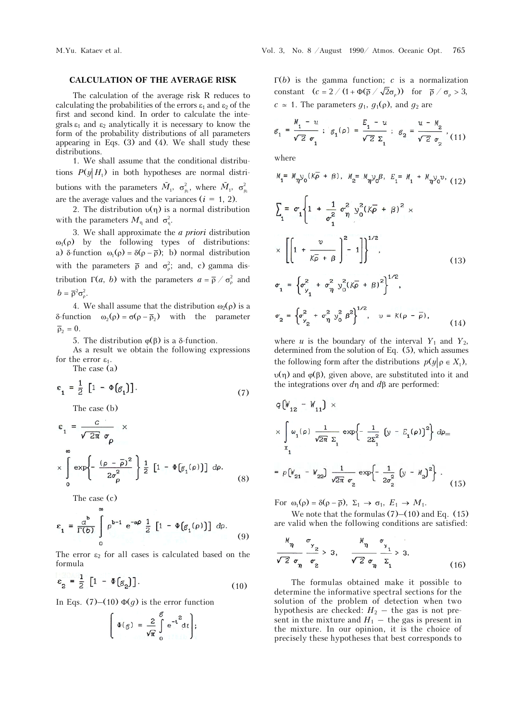## **CALCULATION OF THE AVERAGE RISK**

The calculation of the average risk R reduces to calculating the probabilities of the errors  $\varepsilon_1$  and  $\varepsilon_2$  of the first and second kind. In order to calculate the integrals  $\varepsilon_1$  and  $\varepsilon_2$  analytically it is necessary to know the form of the probability distributions of all parameters appearing in Eqs. (3) and (4). We shall study these distributions.

1. We shall assume that the conditional distributions  $P(y|H_1)$  in both hypotheses are normal distributions with the parameters  $\tilde{M}_1$ ,  $\sigma_{y_1}^2$ , where  $\tilde{M}_1$ ,  $\sigma_{y_1}^2$ are the average values and the variances  $(i = 1, 2)$ .

2. The distribution  $v(\eta)$  is a normal distribution with the parameters  $M_{\eta}$  and  $\sigma_{\eta}^2$ .

3. We shall approximate the *a priori* distribution  $\omega_1(\rho)$  by the following types of distributions: a)  $\delta$ -function  $\omega_1(\rho) = \delta(\rho - \overline{\rho})$ ; b) normal distribution with the parameters  $\bar{\rho}$  and  $\sigma_{\rho}^2$ ; and, c) gamma distribution  $\Gamma(a, b)$  with the parameters  $a = \overline{\rho} / \sigma_o^2$  and  $b = \overline{\rho}^2 \sigma_o^2$ .

4. We shall assume that the distribution  $\omega_2(\rho)$  is a  $\delta$ -function  $\omega_2(\rho) = \sigma(\rho - \overline{\rho}_2)$  with the parameter  $\bar{\rho}_2 = 0.$ 

5. The distribution  $\varphi(\beta)$  is a  $\delta$ -function.

As a result we obtain the following expressions for the error  $\varepsilon_1$ .

The case (a)

$$
\varepsilon_1 = \frac{1}{2} \left[ 1 - \Phi \left[ \mathcal{E}_1 \right] \right]. \tag{7}
$$

The case (b)

$$
\varepsilon_{1} = \frac{c}{\sqrt{2\pi} \sigma_{\rho}} \times
$$
  
 
$$
\times \int_{0}^{\infty} \exp\left\{-\frac{(\rho - \bar{\rho})^{2}}{2\sigma_{\rho}^{2}}\right\} \frac{1}{2} \left[1 - \Phi\big(\mathcal{E}_{1}(\rho)\big)\right] d\rho.
$$
 (8)

The case (c)

$$
\varepsilon_1 = \frac{a^b}{\Gamma(b)} \int\limits_0^\infty \rho^{b-1} e^{-a\rho} \frac{1}{2} \left[ 1 - \Phi\big(\mathcal{G}_1(\rho)\big) \right] d\rho. \tag{9}
$$

The error  $\varepsilon_2$  for all cases is calculated based on the formula

$$
\varepsilon_2 = \frac{1}{2} \left[ 1 - \Phi \left( g_2 \right) \right]. \tag{10}
$$

In Eqs. (7)–(10)  $\Phi(g)$  is the error function

$$
\left(\Phi(g)=\frac{2}{\sqrt{\pi}}\int\limits_{0}^{g}e^{-t^{2}}dt\right);
$$

 $\Gamma(b)$  is the gamma function; *c* is a normalization constant  $(c = 2 / (1 + \Phi(\overline{p} / \sqrt{2}\sigma_{0}))$  for  $\overline{p} / \sigma_{0} > 3$ ,  $c \approx 1$ . The parameters  $g_1$ ,  $g_1(\rho)$ , and  $g_2$  are

$$
\mathcal{E}_1 = \frac{\mathcal{N}_1 - u}{\sqrt{2} \sigma_1} ; \mathcal{E}_1(\rho) = \frac{E_1 - u}{\sqrt{2} \Sigma_1} ; \mathcal{E}_2 = \frac{u - \mathcal{N}_2}{\sqrt{2} \sigma_2} , (11)
$$

where

$$
M_{1} = M_{\eta} y_{0} (K\bar{\rho} + \beta), M_{2} = M_{\eta} y_{0} \beta, E_{1} = M_{1} + M_{\eta} y_{0} v, (12)
$$
  
\n
$$
\sum_{1} = \sigma_{1} \left\{ 1 + \frac{1}{\sigma_{1}^{2}} \sigma_{\eta}^{2} y_{0}^{2} (K\bar{\rho} + \beta)^{2} \times \right\}
$$
  
\n
$$
\times \left[ \left[ 1 + \frac{v}{K\bar{\rho} + \beta} \right]_{0}^{2} - 1 \right] \right\}^{1/2}, (13)
$$
  
\n
$$
\sigma_{1} = \left\{ \sigma_{y_{1}}^{2} + \sigma_{\eta}^{2} y_{0}^{2} (K\bar{\rho} + \beta)^{2} \right\}^{1/2},
$$
  
\n
$$
\sigma_{2} = \left\{ \sigma_{y_{2}}^{2} + \sigma_{\eta}^{2} y_{0}^{2} \beta^{2} \right\}^{1/2}, v = K(\rho - \bar{\rho}),
$$
  
\n(14)

where *u* is the boundary of the interval  $Y_1$  and  $Y_2$ , determined from the solution of Eq. (5), which assumes the following form after the distributions  $p(y | \rho \in X_1)$ ,  $v(\eta)$  and  $\varphi(\beta)$ , given above, are substituted into it and the integrations over  $d\eta$  and  $d\beta$  are performed:

$$
q(W_{12} - W_{11}) \times
$$
  
\n
$$
\times \int_{x_1}^{\infty} \omega_1(\rho) \frac{1}{\sqrt{2\pi} \Sigma_1} \exp\left\{-\frac{1}{2\Sigma_1^2} \left(y - E_1(\rho)\right)^2\right\} d\rho =
$$
  
\n
$$
= \rho[W_{21} - W_{22}] \frac{1}{\sqrt{2\pi} \sigma_2} \exp\left\{-\frac{1}{2\sigma_2^2} \left(y - M_2\right)^2\right\}.
$$
 (15)

For  $\omega_1(\rho) = \delta(\rho - \overline{\rho})$ ,  $\Sigma_1 \rightarrow \sigma_1$ ,  $E_1 \rightarrow M_1$ .

We note that the formulas  $(7)$ – $(10)$  and Eq.  $(15)$ are valid when the following conditions are satisfied:

$$
\frac{M_{\eta}}{\sqrt{2} \sigma_{\eta}} \frac{\sigma_{\gamma_2}}{\sigma_2} > 3, \qquad \frac{M_{\eta}}{\sqrt{2} \sigma_{\eta}} \frac{\sigma_{\gamma_1}}{\Sigma_1} > 3. \tag{16}
$$

The formulas obtained make it possible to determine the informative spectral sections for the solution of the problem of detection when two hypothesis are checked:  $H_2$   $-$  the gas is not present in the mixture and  $H_1$  – the gas is present in the mixture. In our opinion, it is the choice of precisely these hypotheses that best corresponds to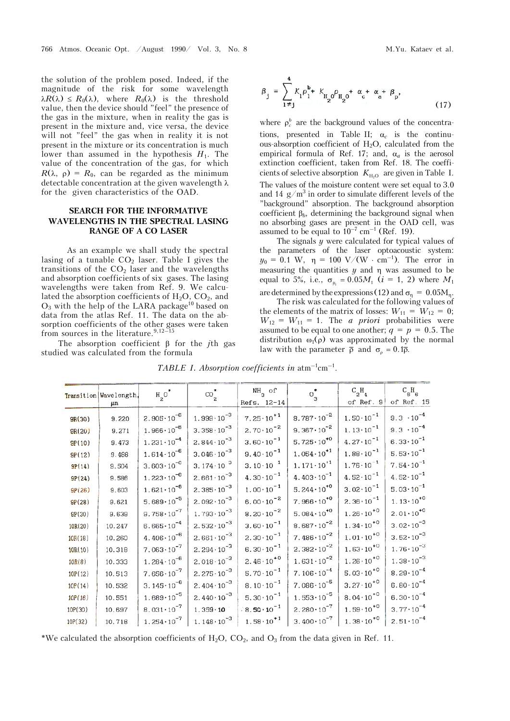the solution of the problem posed. Indeed, if the magnitude of the risk for some wavelength  $\lambda R(\lambda) \leq R_0(\lambda)$ , where  $R_0(\lambda)$  is the threshold value, then the device should "feel" the presence of the gas in the mixture, when in reality the gas is present in the mixture and, vice versa, the device will not "feel" the gas when in reality it is not present in the mixture or its concentration is much lower than assumed in the hypothesis  $H_1$ . The value of the concentration of the gas, for which  $R(\lambda, \rho) = R_0$ , can be regarded as the minimum detectable concentration at the given wavelength  $\lambda$ for the given characteristics of the OAD.

# **SEARCH FOR THE INFORMATIVE WAVELENGTHS IN THE SPECTRAL LASING RANGE OF A CO LASER**

As an example we shall study the spectral lasing of a tunable  $CO<sub>2</sub>$  laser. Table I gives the transitions of the  $CO<sub>2</sub>$  laser and the wavelengths and absorption coefficients of six gases. The lasing wavelengths were taken from Ref. 9. We calculated the absorption coefficients of  $H_2O$ ,  $CO_2$ , and  $O_3$  with the help of the LARA package<sup>10</sup> based on data from the atlas Ref. 11. The data on the absorption coefficients of the other gases were taken from sources in the literature. $9,12-15$ 

The absorption coefficient  $\beta$  for the *j*th gas studied was calculated from the formula

$$
\beta_{j} = \sum_{1 \neq j}^{4} K_{1} \rho_{1}^{b_{+}} K_{H_{2}0} \rho_{H_{2}0}^{b_{+}} \alpha_{c}^{+} \alpha_{a}^{+} \beta_{p},
$$
\n(17)

where  $\rho_c^b$  are the background values of the concentrations, presented in Table II;  $\alpha_c$  is the continuous-absorption coefficient of  $H_2O$ , calculated from the empirical formula of Ref. 17; and,  $\alpha_a$  is the aerosol extinction coefficient, taken from Ref. 18. The coefficients of selective absorption  $K_{\text{H}_2\text{O}}$  are given in Table I. The values of the moisture content were set equal to 3.0 and 14  $g/m<sup>3</sup>$  in order to simulate different levels of the "background" absorption. The background absorption coefficient  $\beta_b$ , determining the background signal when no absorbing gases are present in the OAD cell, was assumed to be equal to  $10^{-7}$  cm<sup>-1</sup> (Ref. 19).

The signals  $y$  were calculated for typical values of the parameters of the laser optoacoustic system:  $y_0 = 0.1$  W,  $\eta = 100$  V/(W · cm<sup>-1</sup>). The error in measuring the quantities  $y$  and  $\eta$  was assumed to be equal to 5%, i.e.,  $\sigma_{y_1} = 0.05M_1$  (*i* = 1, 2) where  $M_1$ are determined by the expressions (12) and  $\sigma_n = 0.05 M_n$ .

The risk was calculated for the following values of the elements of the matrix of losses:  $W_{11} = W_{12} = 0$ ;  $W_{12} = W_{11} = 1$ . The *a priori* probabilities were assumed to be equal to one another;  $q = p = 0.5$ . The distribution  $\omega_1(\rho)$  was approximated by the normal law with the parameter  $\bar{\rho}$  and  $\sigma_{\rho} = 0.1 \bar{\rho}$ .

|         | Transition   Wavelength | $H_{2}O^{*}$          | $\cos^*$              | $NH_{3}$ of          | $\circ_{_3}^\ast$     | $C_2H_4$             | $C_{6}H_{6}$         |
|---------|-------------------------|-----------------------|-----------------------|----------------------|-----------------------|----------------------|----------------------|
|         | μm                      |                       |                       | Refs. 12-14          |                       | of Ref. $9$          | of Ref. 15           |
| 9R(30)  | 9.220                   | $2.905 \cdot 10^{-6}$ | $1.999 \cdot 10^{-3}$ | $7.25 \cdot 10^{+1}$ | $8.787 \cdot 10^{-2}$ | $1.50 \cdot 10^{-1}$ | $9.3 \cdot 10^{-4}$  |
| 9R(20)  | 9.271                   | $1.966 \cdot 10^{-6}$ | $3.358 \cdot 10^{-3}$ | $2.70 \cdot 10^{-2}$ | $9.367 \cdot 10^{-2}$ | $1.13 \cdot 10^{-1}$ | $9.3 \cdot 10^{-4}$  |
| 9P(10)  | 9.473                   | $1.231 \cdot 10^{-4}$ | $2.844 \cdot 10^{-3}$ | $3.60 \cdot 10^{-1}$ | $5.725 \cdot 10^{+0}$ | $4.27 \cdot 10^{-1}$ | $6.33 \cdot 10^{-1}$ |
| 9P(12)  | 9.488                   | $1.614 \cdot 10^{-6}$ | $3.046 \cdot 10^{-3}$ | $9.40 \cdot 10^{-1}$ | $1.054 \cdot 10^{+1}$ | $1.88 \cdot 10^{-1}$ | $5.53 \cdot 10^{-1}$ |
| 9P(14)  | 9.504                   | $3.603 \cdot 10^{-6}$ | $3.174 \cdot 10^{-3}$ | $3.10 \cdot 10^{-1}$ | $1.171 \cdot 10^{+1}$ | $1.76 \cdot 10^{-1}$ | $7.54 \cdot 10^{-1}$ |
| 9P(24)  | 9.586                   | $1.223 \cdot 10^{-6}$ | $2.661 \cdot 10^{-3}$ | $4.30 \cdot 10^{-1}$ | $4.403 \cdot 10^{-1}$ | $4.52 \cdot 10^{-1}$ | $4.52 \cdot 10^{-1}$ |
| 9P(26)  | 9.603                   | $1.621 \cdot 10^{-6}$ | $2.385 \cdot 10^{-3}$ | $1.00 \cdot 10^{-1}$ | $5.244 \cdot 10^{+0}$ | $3.02 \cdot 10^{-1}$ | $5.03 \cdot 10^{-1}$ |
| 9P(28)  | 9.621                   | $5.689 \cdot 10^{-5}$ | $2.092 \cdot 10^{-3}$ | $6.00 \cdot 10^{-2}$ | $7.966 \cdot 10^{+0}$ | $2.36 \cdot 10^{-1}$ | $1.13 \cdot 10^{+0}$ |
| 9P(30)  | 9.639                   | $9.758 \cdot 10^{-7}$ | $1.793 \cdot 10^{-3}$ | $8.20 \cdot 10^{-2}$ | $5.084 \cdot 10^{+0}$ | $1.26 \cdot 10^{+0}$ | $2.01 \cdot 10^{+0}$ |
| 10R(20) | 10.247                  | $6.665 \cdot 10^{-4}$ | $2.532 \cdot 10^{-3}$ | $3.60 \cdot 10^{-1}$ | $8.687 \cdot 10^{-2}$ | $1.34 \cdot 10^{+0}$ | $3.02 \cdot 10^{-3}$ |
| 10R(18) | 10.260                  | $4.406 \cdot 10^{-6}$ | $2.661 \cdot 10^{-3}$ | $2.30 \cdot 10^{-1}$ | $7.486 \cdot 10^{-2}$ | $1.01 \cdot 10^{+0}$ | $3.52 \cdot 10^{-3}$ |
| 10R(10) | 10.318                  | $7.063 \cdot 10^{-7}$ | $2.294 \cdot 10^{-3}$ | $6.30 \cdot 10^{-1}$ | $2.382 \cdot 10^{-2}$ | $1.63 \cdot 10^{+0}$ | $1.76 \cdot 10^{-3}$ |
| 10R(8)  | 10.333                  | $1.284 \cdot 10^{-6}$ | $2.018 \cdot 10^{-3}$ | $2.46 \cdot 10^{+0}$ | $1.631 \cdot 10^{-2}$ | $1.26 \cdot 10^{+0}$ | $1.38 \cdot 10^{-3}$ |
| 10P(12) | 10.513                  | $7.656 \cdot 10^{-7}$ | $2.275 \cdot 10^{-3}$ | $5.70 \cdot 10^{-1}$ | $7.106 \cdot 10^{-4}$ | $5.03 \cdot 10^{+0}$ | $8.29 \cdot 10^{-4}$ |
| 10P(14) | 10.532                  | $3.145 \cdot 10^{-6}$ | $2.404 \cdot 10^{-3}$ | $8.10 \cdot 10^{-1}$ | $7.086 \cdot 10^{-5}$ | $3.27 \cdot 10^{+0}$ | $6.80 \cdot 10^{-4}$ |
| 10P(16) | 10.551                  | $1.689 \cdot 10^{-5}$ | $2.440 \cdot 10^{-3}$ | $5.30 \cdot 10^{-1}$ | $1.553 \cdot 10^{-5}$ | $8.04 \cdot 10^{+0}$ | $6.30 \cdot 10^{-4}$ |
| 10P(30) | 10.697                  | $8.031 \cdot 10^{-7}$ | $1.359 \cdot 10$      | $8.50 \cdot 10^{-1}$ | $2.280 \cdot 10^{-7}$ | $1.59 \cdot 10^{+0}$ | $3.77 \cdot 10^{-4}$ |
| 10P(32) | 10.718                  | $1.254 \cdot 10^{-7}$ | $1.148 \cdot 10^{-3}$ | $1.58 \cdot 10^{+1}$ | $3.400 \cdot 10^{-7}$ | $1.38 \cdot 10^{+0}$ | $2.51 \cdot 10^{-4}$ |

*TABLE I. Absorption coefficients in*  $atm^{-1}cm^{-1}$ .

\*We calculated the absorption coefficients of  $H_2O$ ,  $CO_2$ , and  $O_3$  from the data given in Ref. 11.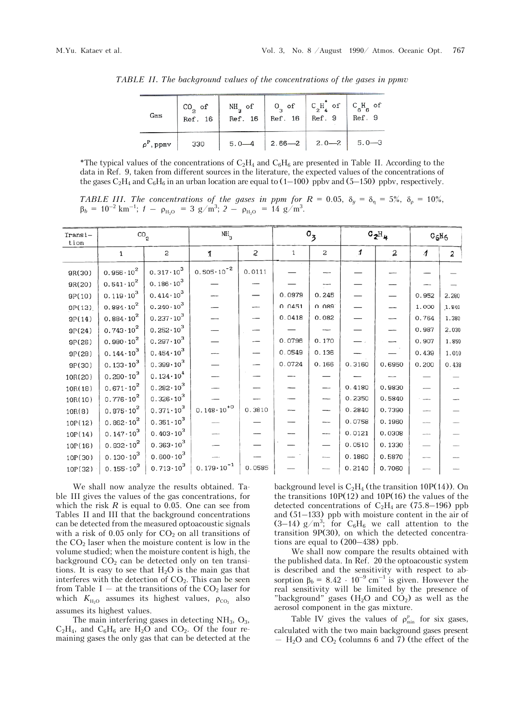| Gas                   | $CO2$ of<br>Ref. 16 | $NH_3$ of $\Big $ O <sub>3</sub> of $\Big $ C <sub>2</sub> H <sub>4</sub> <sup>*</sup> of $\Big $ C <sub>6</sub> H <sub>6</sub> of | Ref. 16   Ref. 16   Ref. 9 |                                          | Ref. 9 |
|-----------------------|---------------------|------------------------------------------------------------------------------------------------------------------------------------|----------------------------|------------------------------------------|--------|
| $\rho^{\rm p}$ , ppmv | 330                 |                                                                                                                                    |                            | $5.0 - 4$   2.66 - 2   2.0 - 2   5.0 - 3 |        |

*TABLE II. The background values of the concentrations of the gases in ppmv*

\*The typical values of the concentrations of  $C_2H_4$  and  $C_6H_6$  are presented in Table II. According to the data in Ref. 9, taken from different sources in the literature, the expected values of the concentrations of the gases  $C_2H_4$  and  $C_6H_6$  in an urban location are equal to (1–100) ppbv and (5–150) ppbv, respectively.

*TABLE III. The concentrations of the gases in ppm for*  $R = 0.05$ *,*  $\delta_y = \delta_{\eta} = 5\%$ *,*  $\delta_{\rho} = 10\%$ *,*  $\beta_b = 10^{-2} \text{ km}^{-1}$ ; *1* –  $\rho_{\text{H}_2\text{O}} = 3 \text{ g/m}^3$ ; *2* –  $\rho_{\text{H}_2\text{O}} = 14 \text{ g/m}^3$ .

| Transi-<br>tion | $\rm{co}_{_2}$       |                      | $NH_{3}$              |        | $\sigma_{3}$ |          | $C_2H_4$ |                          | $C_6H_6$               |       |
|-----------------|----------------------|----------------------|-----------------------|--------|--------------|----------|----------|--------------------------|------------------------|-------|
|                 | 1                    | 2                    | Ť                     | 2      | 1            | 2        | 1        | 2                        | $\boldsymbol{\Lambda}$ | 2     |
| 9R(30)          | $0.956 \cdot 10^{2}$ | $0.317 \cdot 10^{3}$ | $0.505 \cdot 10^{-2}$ | 0.0111 |              |          |          |                          |                        |       |
| 9R(20)          | $0.541 \cdot 10^{2}$ | $0.186 \cdot 10^{3}$ |                       |        |              |          |          |                          |                        |       |
| 9P(10)          | $0.119 \cdot 10^{3}$ | $0.414 \cdot 10^{3}$ |                       |        | 0.0979       | 0.245    |          |                          | 0.952                  | 2.280 |
| 9P(12)          | $0.884 \cdot 10^{2}$ | $0.240 \cdot 10^{3}$ |                       |        | 0.0451       | 0.089    |          | $\overline{\phantom{a}}$ | 1.000                  | 1.840 |
| 9P(14)          | $0.884 \cdot 10^{2}$ | $0.237 \cdot 10^{3}$ |                       |        | 0.0418       | 0.082    |          |                          | 0.764                  | 1.380 |
| 9P(24)          | $0.743 \cdot 10^{2}$ | $0.252 \cdot 10^{3}$ |                       |        |              |          |          | -                        | 0.987                  | 2.030 |
| SP(26)          | $0.980 \cdot 10^{2}$ | $0.297 \cdot 10^{3}$ |                       |        | 0.0796       | 0.170    |          | $\overline{\phantom{0}}$ | 0.907                  | 1.850 |
| 9P(28)          | $0.144 \cdot 10^{3}$ | $0.454 \cdot 10^{3}$ |                       |        | 0.0549       | 0.136    |          |                          | 0.439                  | 1.010 |
| 9P(30)          | $0.133 \cdot 10^{3}$ | $0.399 \cdot 10^{3}$ |                       |        | 0.0724       | 0.166    | 0.3160   | 0.6950                   | 0.200                  | 0.438 |
| 10R(20)         | $0.290 \cdot 10^{3}$ | $0.134 \cdot 10^{4}$ |                       |        |              |          |          |                          |                        |       |
| 10R(18)         | $0.671 \cdot 10^{2}$ | $0.282 \cdot 10^3$   |                       |        |              | $-\cdot$ | 0.4180   | 0.9830                   |                        |       |
| 10R(10)         | $0.776 \cdot 10^{2}$ | $0.326 \cdot 10^{3}$ |                       |        |              | ---      | 0.2350   | 0.5840                   |                        |       |
| 10R(8)          | $0.875 \cdot 10^{2}$ | $0.371 \cdot 10^{3}$ | $0.148 \cdot 10^{+0}$ | 0.3810 |              | ---      | 0.2840   | 0.7390                   |                        |       |
| 10P(12)         | $0.862 \cdot 10^{2}$ | $0.351 \cdot 10^{3}$ |                       |        |              | ---      | 0.0758   | 0.1960                   |                        |       |
| 10P(14)         | $0.147 \cdot 10^{3}$ | $0.403 \cdot 10^{3}$ |                       |        |              | ---      | 0.0121   | 0.0308                   | ---                    |       |
| 10P(16)         | $0.932 \cdot 10^{2}$ | $0.363 \cdot 10^{3}$ |                       |        |              |          | 0.0510   | 0.1330                   |                        |       |
| 10P(30)         | $0.130 \cdot 10^{3}$ | $0.600 \cdot 10^{3}$ |                       |        |              |          | 0.1860   | 0.5870                   |                        |       |
| 10P(32)         | $0.155 \cdot 10^3$   | $0.713 \cdot 10^{3}$ | $0.179 \cdot 10^{-1}$ | 0.0585 |              |          | 0.2140   | 0.7060                   |                        |       |

We shall now analyze the results obtained. Table III gives the values of the gas concentrations, for which the risk  $R$  is equal to 0.05. One can see from Tables II and III that the background concentrations can be detected from the measured optoacoustic signals with a risk of  $0.05$  only for  $CO<sub>2</sub>$  on all transitions of the  $CO<sub>2</sub>$  laser when the moisture content is low in the volume studied; when the moisture content is high, the background  $CO<sub>2</sub>$  can be detected only on ten transitions. It is easy to see that  $H_2O$  is the main gas that interferes with the detection of  $CO<sub>2</sub>$ . This can be seen from Table I — at the transitions of the  $CO<sub>2</sub>$  laser for which  $K_{H<sub>10</sub>}$  assumes its highest values,  $\rho_{CO<sub>2</sub>}$  also assumes its highest values.

The main interfering gases in detecting  $NH<sub>3</sub>$ ,  $O<sub>3</sub>$ ,  $C_2H_4$ , and  $C_6H_6$  are  $H_2O$  and  $CO_2$ . Of the four remaining gases the only gas that can be detected at the background level is  $C_2H_4$  (the transition 10P(14)). On the transitions  $10P(12)$  and  $10P(16)$  the values of the detected concentrations of  $C_2H_4$  are (75.8–196) ppb and (51–133) ppb with moisture content in the air of  $(3-14)$  g/m<sup>3</sup>; for C<sub>6</sub>H<sub>6</sub> we call attention to the transition 9P(30), on which the detected concentrations are equal to (200–438) ppb.

We shall now compare the results obtained with the published data. In Ref. 20 the optoacoustic system is described and the sensitivity with respect to absorption  $\beta_b = 8.42 \cdot 10^{-9}$  cm<sup>-1</sup> is given. However the real sensitivity will be limited by the presence of "background" gases (H<sub>2</sub>O and  $CO<sub>2</sub>$ ) as well as the aerosol component in the gas mixture.

Table IV gives the values of  $\rho_{\min}^p$  for six gases, calculated with the two main background gases present  $-$  H<sub>2</sub>O and CO<sub>2</sub> (columns 6 and 7) (the effect of the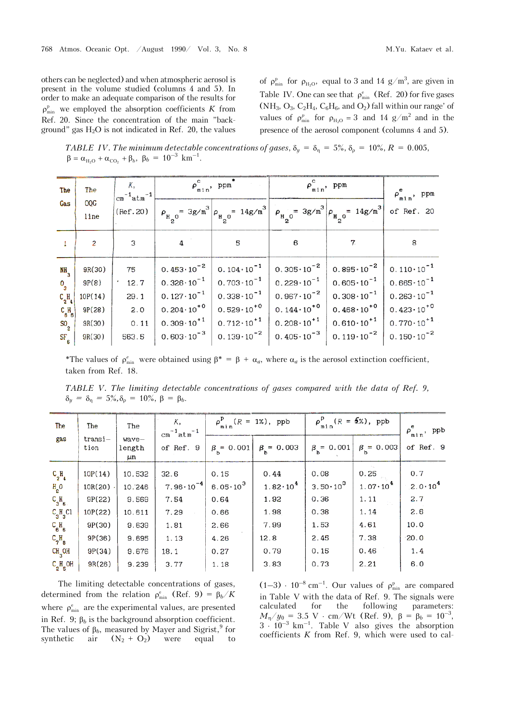others can be neglected) and when atmospheric aerosol is present in the volume studied (columns 4 and 5). In order to make an adequate comparison of the results for  $\rho_{\min}^{\text{p}}$  we employed the absorption coefficients *K* from Ref. 20. Since the concentration of the main "background" gas  $H_2O$  is not indicated in Ref. 20, the values

of  $\rho_{\min}^{\mathrm{p}}$  for  $\rho_{\mathrm{H}_2\mathrm{O}}$ , equal to 3 and 14 g/m<sup>3</sup>, are given in Table IV. One can see that  $\rho_{\min}^e$  (Ref. 20) for five gases (NH<sub>3</sub>, O<sub>3</sub>, C<sub>2</sub>H<sub>4</sub>, C<sub>6</sub>H<sub>6</sub>, and O<sub>2</sub>) fall within our range' of values of  $\rho_{\min}^p$  for  $\rho_{H_2O} = 3$  and 14 g/m<sup>2</sup> and in the presence of the aerosol component (columns 4 and 5).

*TABLE IV. The minimum detectable concentrations of gases,*  $\delta_y = \delta_{\eta} = 5\%$ ,  $\delta_{\rho} = 10\%$ ,  $R = 0.005$ ,  $\beta = \alpha_{H_2O} + \alpha_{CO_2} + \beta_b$ ,  $\beta_b = 10^{-3}$  km<sup>-1</sup>.

| The                            | The                | Κ,<br>$\lfloor cn^{-1}atm^{-1} \rfloor$ |                       | $\rho_{\min}^c$ , ppm | $\rho_{\min}^c$ , ppm                                                                                                                                             | $\rho_{\min}^e$ , ppm |                       |
|--------------------------------|--------------------|-----------------------------------------|-----------------------|-----------------------|-------------------------------------------------------------------------------------------------------------------------------------------------------------------|-----------------------|-----------------------|
| Gas                            | <b>OQG</b><br>line | (Ref.20)                                |                       |                       | $\rho_{H_{2}^{\circ}} = 3g/m^{3} \left  \rho_{H_{2}^{\circ}} - 14g/m^{3} \right  \left  \rho_{H_{2}^{\circ}} - 3g/m^{3} \right  \rho_{H_{2}^{\circ}} = 14g/m^{3}$ |                       | of Ref. 20            |
| $\mathbf{1}$                   | $\overline{2}$     | 3                                       | 4                     | 5                     | 6                                                                                                                                                                 |                       | 8                     |
| $N1$ <sub>3</sub>              | 9R(30)             | 75                                      | $0.453 \cdot 10^{-2}$ | $0.104 \cdot 10^{-1}$ | $0.305 \cdot 10^{-2}$                                                                                                                                             | $0.895 \cdot 10^{-2}$ | $0.110 \cdot 10^{-1}$ |
| $O_{3}$                        | 9P(8)              | 12.7                                    | $0.326 \cdot 10^{-1}$ | $0.703 \cdot 10^{-1}$ | $0.229 \cdot 10^{-1}$                                                                                                                                             | $0.605 \cdot 10^{-1}$ | $0.665 \cdot 10^{-1}$ |
| $C_{2}H_{4}$                   | 10P(14)            | 29.1                                    | $0.127 \cdot 10^{-1}$ | $0.338 \cdot 10^{-1}$ | $0.967 \cdot 10^{-2}$                                                                                                                                             | $0.308 \cdot 10^{-1}$ | $0.263 \cdot 10^{-1}$ |
| $\frac{C_{\beta}H_{\beta}}{B}$ | 9P(28)             | 2.0                                     | $0.204 \cdot 10^{+0}$ | $0.529 \cdot 10^{+0}$ | $0.144 \cdot 10^{+0}$                                                                                                                                             | $0.468 \cdot 10^{+0}$ | $0.423 \cdot 10^{+0}$ |
| $S_0$                          | 9R(30)             | 0.11                                    | $0.309 \cdot 10^{+1}$ | $0.712 \cdot 10^{+1}$ | $0.208 \cdot 10^{+1}$                                                                                                                                             | $0.610 \cdot 10^{+1}$ | $0.770 \cdot 10^{+1}$ |
| $SF_{6}$                       | 9R(30)             | 563.5                                   | $0.603 \cdot 10^{-3}$ | $0.139 \cdot 10^{-2}$ | $0.405 \cdot 10^{-3}$                                                                                                                                             | $0.119 \cdot 10^{-2}$ | $0.150 \cdot 10^{-2}$ |

\*The values of  $\rho_{\min}^e$  were obtained using  $\beta^* = \beta + \alpha_a$ , where  $\alpha_a$  is the aerosol extinction coefficient, taken from Ref. 18.

*TABLE V. The limiting detectable concentrations of gases compared with the data of Ref. 9,*  $\delta_y = \delta_\eta = 5\%, \delta_\rho = 10\%, \beta = \beta_b.$ 

| The                | The             | The                   | К,<br>$cm^{-1}atm^{-1}$ | $\rho^P$ (R = 1%), ppb<br>min |                         | $\rho_{\min}^{\text{p}}(R = 5\%)$ , ppb |                     | $\rho_{\min}^e$ , ppb |  |
|--------------------|-----------------|-----------------------|-------------------------|-------------------------------|-------------------------|-----------------------------------------|---------------------|-----------------------|--|
| gas                | transi-<br>tion | wave-<br>length<br>μm | of Ref. 9               | $\beta_{b} = 0.001$           | $\beta_{\rm b} = 0.003$ | $\beta_{b} = 0.001$                     | $\beta = 0.003$     | of Ref. 9             |  |
| $C_2H_4$           | 10P(14)         | 10.532                | 32.6                    | 0.15                          | 0.44                    | 0.08                                    | 0.25                | 0.7                   |  |
| $H2$ O             | $10R(20)$ .     | 10.246                | $7.96 \cdot 10^{-4}$    | 6.05 $\cdot$ 10 $^{3}$        | $1.82 \cdot 10^{4}$     | $3.50 \cdot 10^{3}$                     | $1.07 \cdot 10^{4}$ | $2.0 \cdot 10^{4}$    |  |
| $C_3H_6$           | 9P(22)          | 9.569                 | 7.54                    | 0.64                          | 1.92                    | 0.36                                    | 1.11                | 2.7                   |  |
| $C_3H_3Cl$         | 10P(22)         | 10.611                | 7.29                    | 0.66                          | 1.98                    | 0.38                                    | 1.14                | 2.6                   |  |
| $C_{6}H_{6}$       | 9P(30)          | 9.639                 | 1.81                    | 2.66                          | 7.99                    | 1.53                                    | 4.61                | 10.0                  |  |
| $C_7H_8$           | 9P(36)          | 9.695                 | 1.13                    | 4.26                          | 12.8                    | 2.45                                    | 7.38                | $-20.0$               |  |
| CH <sub>3</sub> OH | 9P(34)          | 9.676                 | 18.1                    | 0.27                          | 0.79                    | 0.15                                    | 0.46                | 1.4                   |  |
| $C_{2}H_{S}$ OH    | 9R(26)          | 9.239                 | 3.77                    | 1.18                          | 3.83                    | 0.73                                    | 2.21                | 6.0                   |  |

The limiting detectable concentrations of gases, determined from the relation  $\rho_{\min}^e$  (Ref. 9) =  $\beta_b/K$ where  $\rho_{\min}^e$  are the experimental values, are presented in Ref. 9;  $\beta_b$  is the background absorption coefficient. The values of  $\beta_b$ , measured by Mayer and Sigrist,  $9$  for synthetic air  $(N_2 + O_2)$  were equal to

 $(1-3) \cdot 10^{-8}$  cm<sup>-1</sup>. Our values of  $\rho_{\min}^p$  are compared in Table V with the data of Ref. 9. The signals were<br>calculated for the following parameters: for the following parameters:  $M_{\eta}/y_0 = 3.5 \text{ V} \cdot \text{cm}/\text{Wt}$  (Ref. 9),  $\beta = \beta_b = 10^{-3}$ ,  $3 \cdot 10^{-3}$  km<sup>-1</sup>. Table V also gives the absorption coefficients *K* from Ref. 9, which were used to cal-